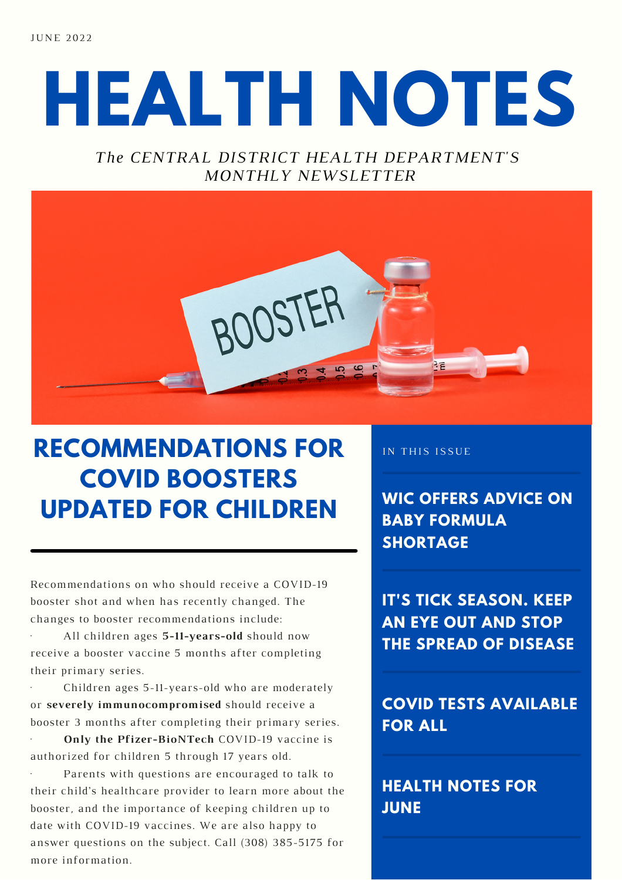**JUNE 2022** 

# **HEALTH NOTES**

#### *The CENTRAL DISTRICT HEALTH DEPARTMENT'S MONTHLY NEWSLETTER*



### **RECOMMENDATIONS FOR COVID BOOSTERS UPDATED FOR CHILDREN**

Recommendations on who should receive a COVID-19 booster shot and when has recently changed. The changes to booster recommendations include:

· All children ages **5-11-years-old** should now receive a booster vaccine 5 months after completing their primary series.

Children ages 5-11-years-old who are moderately or **severely immunocompromised** should receive a booster 3 months after completing their primary series.

· **Only the Pfizer-BioNTech** COVID-19 vaccine is authorized for children 5 through 17 years old.

Parents with questions are encouraged to talk to their child's healthcare provider to learn more about the booster, and the importance of keeping children up to date with COVID-19 vaccines. We are also happy to answer questions on the subject. Call (308) 385-5175 for more information.

IN THIS ISSUE

**WIC OFFERS ADVICE ON BABY FORMULA SHORTAGE**

**IT'S TICK SEASON. KEEP AN EYE OUT AND STOP THE SPREAD OF DISEASE**

**COVID TESTS AVAILABLE FOR ALL**

**HEALTH NOTES FOR JUNE**